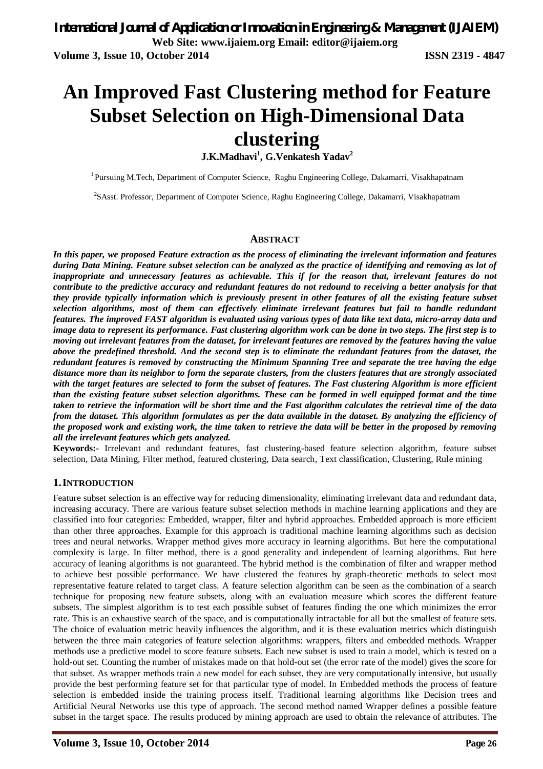# **An Improved Fast Clustering method for Feature Subset Selection on High-Dimensional Data clustering**

**J.K.Madhavi<sup>1</sup> , G.Venkatesh Yadav<sup>2</sup>**

<sup>1</sup> Pursuing M.Tech, Department of Computer Science, Raghu Engineering College, Dakamarri, Visakhapatnam

2 SAsst. Professor, Department of Computer Science, Raghu Engineering College, Dakamarri, Visakhapatnam

#### **ABSTRACT**

*In this paper, we proposed Feature extraction as the process of eliminating the irrelevant information and features during Data Mining. Feature subset selection can be analyzed as the practice of identifying and removing as lot of*  inappropriate and unnecessary features as achievable. This if for the reason that, irrelevant features do not *contribute to the predictive accuracy and redundant features do not redound to receiving a better analysis for that they provide typically information which is previously present in other features of all the existing feature subset selection algorithms, most of them can effectively eliminate irrelevant features but fail to handle redundant features. The improved FAST algorithm is evaluated using various types of data like text data, micro-array data and image data to represent its performance. Fast clustering algorithm work can be done in two steps. The first step is to moving out irrelevant features from the dataset, for irrelevant features are removed by the features having the value above the predefined threshold. And the second step is to eliminate the redundant features from the dataset, the redundant features is removed by constructing the Minimum Spanning Tree and separate the tree having the edge distance more than its neighbor to form the separate clusters, from the clusters features that are strongly associated with the target features are selected to form the subset of features. The Fast clustering Algorithm is more efficient than the existing feature subset selection algorithms. These can be formed in well equipped format and the time taken to retrieve the information will be short time and the Fast algorithm calculates the retrieval time of the data from the dataset. This algorithm formulates as per the data available in the dataset. By analyzing the efficiency of the proposed work and existing work, the time taken to retrieve the data will be better in the proposed by removing all the irrelevant features which gets analyzed.*

**Keywords:-** Irrelevant and redundant features, fast clustering-based feature selection algorithm, feature subset selection, Data Mining, Filter method, featured clustering, Data search, Text classification, Clustering, Rule mining

### **1.INTRODUCTION**

Feature subset selection is an effective way for reducing dimensionality, eliminating irrelevant data and redundant data, increasing accuracy. There are various feature subset selection methods in machine learning applications and they are classified into four categories: Embedded, wrapper, filter and hybrid approaches. Embedded approach is more efficient than other three approaches. Example for this approach is traditional machine learning algorithms such as decision trees and neural networks. Wrapper method gives more accuracy in learning algorithms. But here the computational complexity is large. In filter method, there is a good generality and independent of learning algorithms. But here accuracy of leaning algorithms is not guaranteed. The hybrid method is the combination of filter and wrapper method to achieve best possible performance. We have clustered the features by graph-theoretic methods to select most representative feature related to target class. A feature selection algorithm can be seen as the combination of a search technique for proposing new feature subsets, along with an evaluation measure which scores the different feature subsets. The simplest algorithm is to test each possible subset of features finding the one which minimizes the error rate. This is an exhaustive search of the space, and is computationally intractable for all but the smallest of feature sets. The choice of evaluation metric heavily influences the algorithm, and it is these evaluation metrics which distinguish between the three main categories of feature selection algorithms: wrappers, filters and embedded methods. Wrapper methods use a predictive model to score feature subsets. Each new subset is used to train a model, which is tested on a hold-out set. Counting the number of mistakes made on that hold-out set (the error rate of the model) gives the score for that subset. As wrapper methods train a new model for each subset, they are very computationally intensive, but usually provide the best performing feature set for that particular type of model. In Embedded methods the process of feature selection is embedded inside the training process itself. Traditional learning algorithms like Decision trees and Artificial Neural Networks use this type of approach. The second method named Wrapper defines a possible feature subset in the target space. The results produced by mining approach are used to obtain the relevance of attributes. The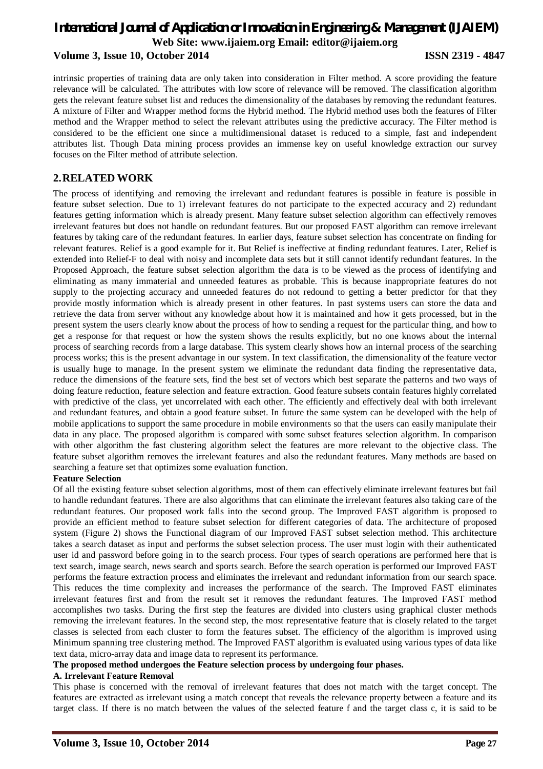# *International Journal of Application or Innovation in Engineering & Management (IJAIEM)* **Web Site: www.ijaiem.org Email: editor@ijaiem.org Volume 3, Issue 10, October 2014 ISSN 2319 - 4847**

intrinsic properties of training data are only taken into consideration in Filter method. A score providing the feature relevance will be calculated. The attributes with low score of relevance will be removed. The classification algorithm gets the relevant feature subset list and reduces the dimensionality of the databases by removing the redundant features. A mixture of Filter and Wrapper method forms the Hybrid method. The Hybrid method uses both the features of Filter method and the Wrapper method to select the relevant attributes using the predictive accuracy. The Filter method is considered to be the efficient one since a multidimensional dataset is reduced to a simple, fast and independent attributes list. Though Data mining process provides an immense key on useful knowledge extraction our survey focuses on the Filter method of attribute selection.

# **2.RELATED WORK**

The process of identifying and removing the irrelevant and redundant features is possible in feature is possible in feature subset selection. Due to 1) irrelevant features do not participate to the expected accuracy and 2) redundant features getting information which is already present. Many feature subset selection algorithm can effectively removes irrelevant features but does not handle on redundant features. But our proposed FAST algorithm can remove irrelevant features by taking care of the redundant features. In earlier days, feature subset selection has concentrate on finding for relevant features. Relief is a good example for it. But Relief is ineffective at finding redundant features. Later, Relief is extended into Relief-F to deal with noisy and incomplete data sets but it still cannot identify redundant features. In the Proposed Approach, the feature subset selection algorithm the data is to be viewed as the process of identifying and eliminating as many immaterial and unneeded features as probable. This is because inappropriate features do not supply to the projecting accuracy and unneeded features do not redound to getting a better predictor for that they provide mostly information which is already present in other features. In past systems users can store the data and retrieve the data from server without any knowledge about how it is maintained and how it gets processed, but in the present system the users clearly know about the process of how to sending a request for the particular thing, and how to get a response for that request or how the system shows the results explicitly, but no one knows about the internal process of searching records from a large database. This system clearly shows how an internal process of the searching process works; this is the present advantage in our system. In text classification, the dimensionality of the feature vector is usually huge to manage. In the present system we eliminate the redundant data finding the representative data, reduce the dimensions of the feature sets, find the best set of vectors which best separate the patterns and two ways of doing feature reduction, feature selection and feature extraction. Good feature subsets contain features highly correlated with predictive of the class, yet uncorrelated with each other. The efficiently and effectively deal with both irrelevant and redundant features, and obtain a good feature subset. In future the same system can be developed with the help of mobile applications to support the same procedure in mobile environments so that the users can easily manipulate their data in any place. The proposed algorithm is compared with some subset features selection algorithm. In comparison with other algorithm the fast clustering algorithm select the features are more relevant to the objective class. The feature subset algorithm removes the irrelevant features and also the redundant features. Many methods are based on searching a feature set that optimizes some evaluation function.

### **Feature Selection**

Of all the existing feature subset selection algorithms, most of them can effectively eliminate irrelevant features but fail to handle redundant features. There are also algorithms that can eliminate the irrelevant features also taking care of the redundant features. Our proposed work falls into the second group. The Improved FAST algorithm is proposed to provide an efficient method to feature subset selection for different categories of data. The architecture of proposed system (Figure 2) shows the Functional diagram of our Improved FAST subset selection method. This architecture takes a search dataset as input and performs the subset selection process. The user must login with their authenticated user id and password before going in to the search process. Four types of search operations are performed here that is text search, image search, news search and sports search. Before the search operation is performed our Improved FAST performs the feature extraction process and eliminates the irrelevant and redundant information from our search space. This reduces the time complexity and increases the performance of the search. The Improved FAST eliminates irrelevant features first and from the result set it removes the redundant features. The Improved FAST method accomplishes two tasks. During the first step the features are divided into clusters using graphical cluster methods removing the irrelevant features. In the second step, the most representative feature that is closely related to the target classes is selected from each cluster to form the features subset. The efficiency of the algorithm is improved using Minimum spanning tree clustering method. The Improved FAST algorithm is evaluated using various types of data like text data, micro-array data and image data to represent its performance.

### **The proposed method undergoes the Feature selection process by undergoing four phases.**

#### **A. Irrelevant Feature Removal**

This phase is concerned with the removal of irrelevant features that does not match with the target concept. The features are extracted as irrelevant using a match concept that reveals the relevance property between a feature and its target class. If there is no match between the values of the selected feature f and the target class c, it is said to be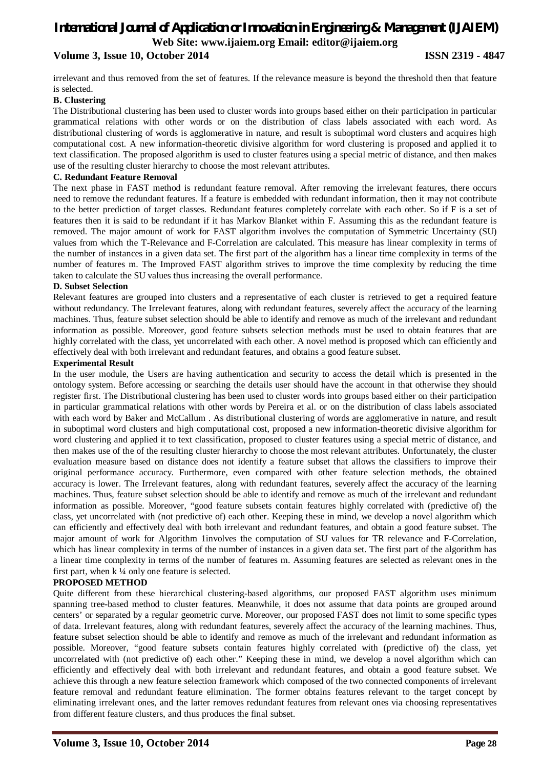# *International Journal of Application or Innovation in Engineering & Management (IJAIEM)* **Web Site: www.ijaiem.org Email: editor@ijaiem.org Volume 3, Issue 10, October 2014 ISSN 2319 - 4847**

irrelevant and thus removed from the set of features. If the relevance measure is beyond the threshold then that feature is selected.

#### **B. Clustering**

The Distributional clustering has been used to cluster words into groups based either on their participation in particular grammatical relations with other words or on the distribution of class labels associated with each word. As distributional clustering of words is agglomerative in nature, and result is suboptimal word clusters and acquires high computational cost. A new information-theoretic divisive algorithm for word clustering is proposed and applied it to text classification. The proposed algorithm is used to cluster features using a special metric of distance, and then makes use of the resulting cluster hierarchy to choose the most relevant attributes.

#### **C. Redundant Feature Removal**

The next phase in FAST method is redundant feature removal. After removing the irrelevant features, there occurs need to remove the redundant features. If a feature is embedded with redundant information, then it may not contribute to the better prediction of target classes. Redundant features completely correlate with each other. So if F is a set of features then it is said to be redundant if it has Markov Blanket within F. Assuming this as the redundant feature is removed. The major amount of work for FAST algorithm involves the computation of Symmetric Uncertainty (SU) values from which the T-Relevance and F-Correlation are calculated. This measure has linear complexity in terms of the number of instances in a given data set. The first part of the algorithm has a linear time complexity in terms of the number of features m. The Improved FAST algorithm strives to improve the time complexity by reducing the time taken to calculate the SU values thus increasing the overall performance.

#### **D. Subset Selection**

Relevant features are grouped into clusters and a representative of each cluster is retrieved to get a required feature without redundancy. The Irrelevant features, along with redundant features, severely affect the accuracy of the learning machines. Thus, feature subset selection should be able to identify and remove as much of the irrelevant and redundant information as possible. Moreover, good feature subsets selection methods must be used to obtain features that are highly correlated with the class, yet uncorrelated with each other. A novel method is proposed which can efficiently and effectively deal with both irrelevant and redundant features, and obtains a good feature subset.

#### **Experimental Result**

In the user module, the Users are having authentication and security to access the detail which is presented in the ontology system. Before accessing or searching the details user should have the account in that otherwise they should register first. The Distributional clustering has been used to cluster words into groups based either on their participation in particular grammatical relations with other words by Pereira et al. or on the distribution of class labels associated with each word by Baker and McCallum . As distributional clustering of words are agglomerative in nature, and result in suboptimal word clusters and high computational cost, proposed a new information-theoretic divisive algorithm for word clustering and applied it to text classification, proposed to cluster features using a special metric of distance, and then makes use of the of the resulting cluster hierarchy to choose the most relevant attributes. Unfortunately, the cluster evaluation measure based on distance does not identify a feature subset that allows the classifiers to improve their original performance accuracy. Furthermore, even compared with other feature selection methods, the obtained accuracy is lower. The Irrelevant features, along with redundant features, severely affect the accuracy of the learning machines. Thus, feature subset selection should be able to identify and remove as much of the irrelevant and redundant information as possible. Moreover, "good feature subsets contain features highly correlated with (predictive of) the class, yet uncorrelated with (not predictive of) each other. Keeping these in mind, we develop a novel algorithm which can efficiently and effectively deal with both irrelevant and redundant features, and obtain a good feature subset. The major amount of work for Algorithm 1involves the computation of SU values for TR relevance and F-Correlation, which has linear complexity in terms of the number of instances in a given data set. The first part of the algorithm has a linear time complexity in terms of the number of features m. Assuming features are selected as relevant ones in the first part, when  $k \frac{1}{4}$  only one feature is selected.

### **PROPOSED METHOD**

Quite different from these hierarchical clustering-based algorithms, our proposed FAST algorithm uses minimum spanning tree-based method to cluster features. Meanwhile, it does not assume that data points are grouped around centers' or separated by a regular geometric curve. Moreover, our proposed FAST does not limit to some specific types of data. Irrelevant features, along with redundant features, severely affect the accuracy of the learning machines. Thus, feature subset selection should be able to identify and remove as much of the irrelevant and redundant information as possible. Moreover, "good feature subsets contain features highly correlated with (predictive of) the class, yet uncorrelated with (not predictive of) each other." Keeping these in mind, we develop a novel algorithm which can efficiently and effectively deal with both irrelevant and redundant features, and obtain a good feature subset. We achieve this through a new feature selection framework which composed of the two connected components of irrelevant feature removal and redundant feature elimination. The former obtains features relevant to the target concept by eliminating irrelevant ones, and the latter removes redundant features from relevant ones via choosing representatives from different feature clusters, and thus produces the final subset.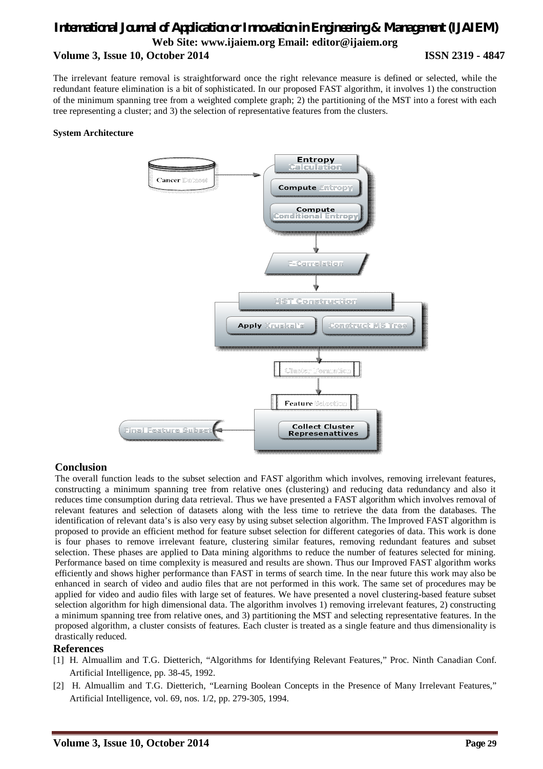# *International Journal of Application or Innovation in Engineering & Management (IJAIEM)* **Web Site: www.ijaiem.org Email: editor@ijaiem.org Volume 3, Issue 10, October 2014 ISSN 2319 - 4847**

The irrelevant feature removal is straightforward once the right relevance measure is defined or selected, while the redundant feature elimination is a bit of sophisticated. In our proposed FAST algorithm, it involves 1) the construction of the minimum spanning tree from a weighted complete graph; 2) the partitioning of the MST into a forest with each tree representing a cluster; and 3) the selection of representative features from the clusters.

#### **System Architecture**



### **Conclusion**

The overall function leads to the subset selection and FAST algorithm which involves, removing irrelevant features, constructing a minimum spanning tree from relative ones (clustering) and reducing data redundancy and also it reduces time consumption during data retrieval. Thus we have presented a FAST algorithm which involves removal of relevant features and selection of datasets along with the less time to retrieve the data from the databases. The identification of relevant data's is also very easy by using subset selection algorithm. The Improved FAST algorithm is proposed to provide an efficient method for feature subset selection for different categories of data. This work is done is four phases to remove irrelevant feature, clustering similar features, removing redundant features and subset selection. These phases are applied to Data mining algorithms to reduce the number of features selected for mining. Performance based on time complexity is measured and results are shown. Thus our Improved FAST algorithm works efficiently and shows higher performance than FAST in terms of search time. In the near future this work may also be enhanced in search of video and audio files that are not performed in this work. The same set of procedures may be applied for video and audio files with large set of features. We have presented a novel clustering-based feature subset selection algorithm for high dimensional data. The algorithm involves 1) removing irrelevant features, 2) constructing a minimum spanning tree from relative ones, and 3) partitioning the MST and selecting representative features. In the proposed algorithm, a cluster consists of features. Each cluster is treated as a single feature and thus dimensionality is drastically reduced.

### **References**

- [1] H. Almuallim and T.G. Dietterich, "Algorithms for Identifying Relevant Features," Proc. Ninth Canadian Conf. Artificial Intelligence, pp. 38-45, 1992.
- [2] H. Almuallim and T.G. Dietterich, "Learning Boolean Concepts in the Presence of Many Irrelevant Features," Artificial Intelligence, vol. 69, nos. 1/2, pp. 279-305, 1994.